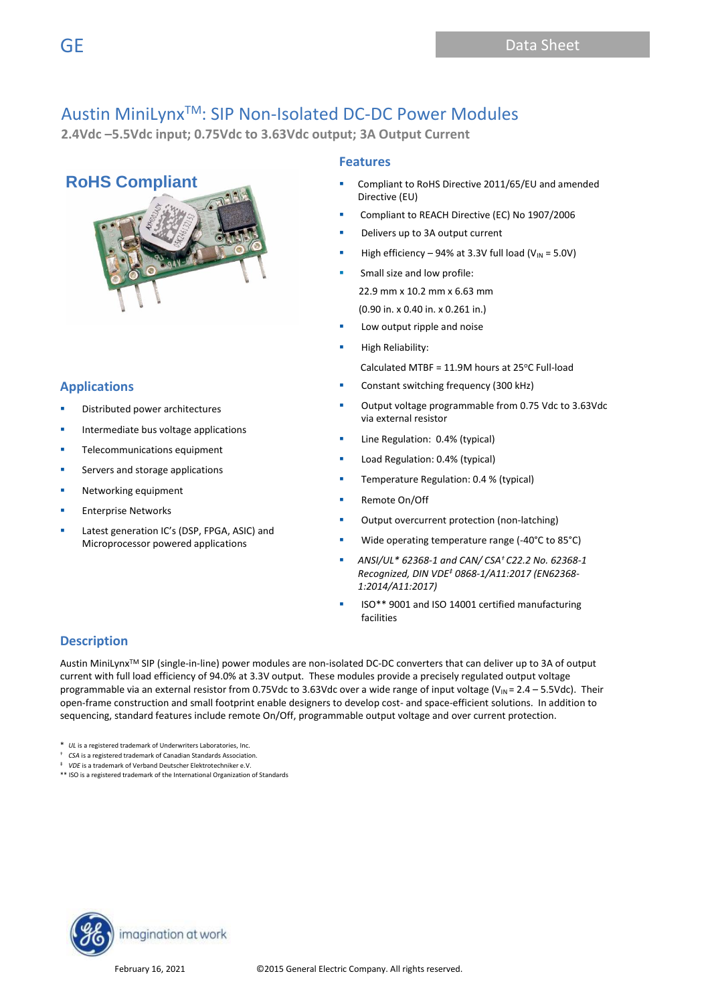**2.4Vdc –5.5Vdc input; 0.75Vdc to 3.63Vdc output; 3A Output Current** 

## **RoHS Compliant**



## **Applications**

- Distributed power architectures
- Intermediate bus voltage applications
- Telecommunications equipment
- Servers and storage applications
- Networking equipment
- **Enterprise Networks**
- Latest generation IC's (DSP, FPGA, ASIC) and Microprocessor powered applications

### **Features**

- Compliant to RoHS Directive 2011/65/EU and amended Directive (EU)
- Compliant to REACH Directive (EC) No 1907/2006
- Delivers up to 3A output current
- High efficiency 94% at 3.3V full load ( $V_{IN}$  = 5.0V)
- Small size and low profile: 22.9 mm x 10.2 mm x 6.63 mm (0.90 in. x 0.40 in. x 0.261 in.)
- Low output ripple and noise
- **High Reliability:** 
	- Calculated MTBF =  $11.9M$  hours at 25°C Full-load
- Constant switching frequency (300 kHz)
- Output voltage programmable from 0.75 Vdc to 3.63Vdc via external resistor
- Line Regulation: 0.4% (typical)
- Load Regulation: 0.4% (typical)
- Temperature Regulation: 0.4 % (typical)
- Remote On/Off
- Output overcurrent protection (non-latching)
- Wide operating temperature range (-40°C to 85°C)
- *ANSI/UL\* 62368-1 and CAN/ CSA† C22.2 No. 62368-1 Recognized, DIN VDE‡ 0868-1/A11:2017 (EN62368- 1:2014/A11:2017)*
- ISO\*\* 9001 and ISO 14001 certified manufacturing facilities

## **Description**

Austin MiniLynxTM SIP (single-in-line) power modules are non-isolated DC-DC converters that can deliver up to 3A of output current with full load efficiency of 94.0% at 3.3V output. These modules provide a precisely regulated output voltage programmable via an external resistor from 0.75Vdc to 3.63Vdc over a wide range of input voltage (V<sub>IN</sub> = 2.4 – 5.5Vdc). Their open-frame construction and small footprint enable designers to develop cost- and space-efficient solutions. In addition to sequencing, standard features include remote On/Off, programmable output voltage and over current protection.

\* *UL* is a registered trademark of Underwriters Laboratories, Inc.

- † *CSA* is a registered trademark of Canadian Standards Association.
- ‡ *VDE* is a trademark of Verband Deutscher Elektrotechniker e.V.

\*\* ISO is a registered trademark of the International Organization of Standards

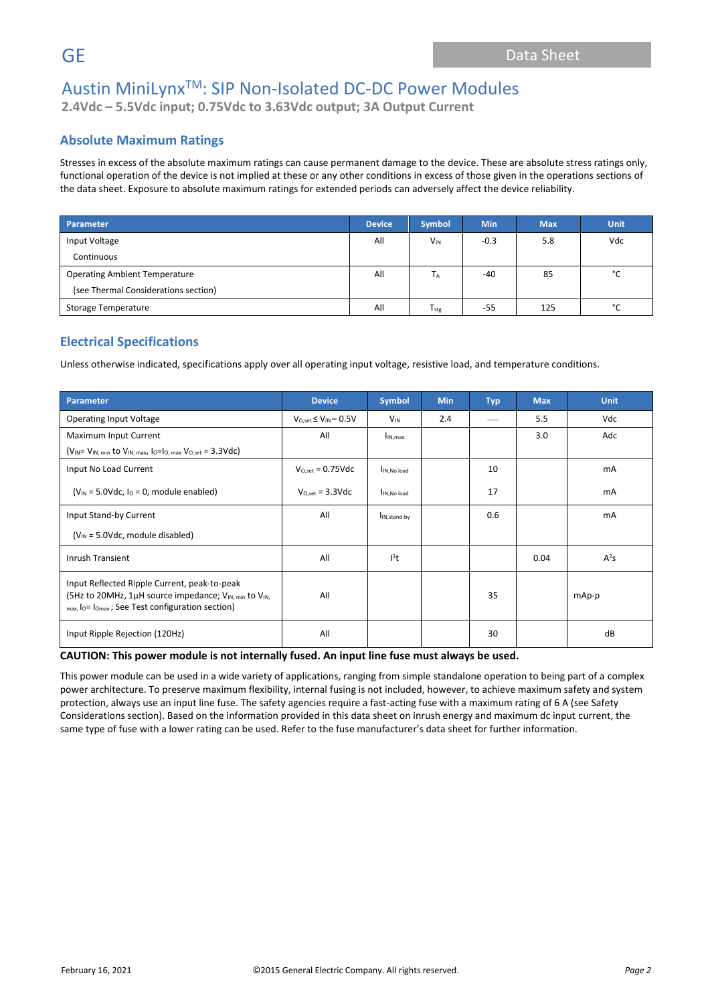**2.4Vdc – 5.5Vdc input; 0.75Vdc to 3.63Vdc output; 3A Output Current**

### **Absolute Maximum Ratings**

Stresses in excess of the absolute maximum ratings can cause permanent damage to the device. These are absolute stress ratings only, functional operation of the device is not implied at these or any other conditions in excess of those given in the operations sections of the data sheet. Exposure to absolute maximum ratings for extended periods can adversely affect the device reliability.

| Parameter                            | <b>Device</b> | <b>Symbol</b> | <b>Min</b> | <b>Max</b> | <b>Unit</b> |
|--------------------------------------|---------------|---------------|------------|------------|-------------|
| Input Voltage                        | All           | $V_{IN}$      | $-0.3$     | 5.8        | Vdc         |
| Continuous                           |               |               |            |            |             |
| <b>Operating Ambient Temperature</b> | All           | Τд            | -40        | 85         | °C          |
| (see Thermal Considerations section) |               |               |            |            |             |
| Storage Temperature                  | All           | $T_{\rm stg}$ | $-55$      | 125        | °С          |

## **Electrical Specifications**

Unless otherwise indicated, specifications apply over all operating input voltage, resistive load, and temperature conditions.

| Parameter                                                                                                                                                                                    | <b>Device</b>                  | <b>Symbol</b>            | <b>Min</b> | <b>Typ</b> | <b>Max</b> | <b>Unit</b> |
|----------------------------------------------------------------------------------------------------------------------------------------------------------------------------------------------|--------------------------------|--------------------------|------------|------------|------------|-------------|
| <b>Operating Input Voltage</b>                                                                                                                                                               | $V_{O,set} \leq V_{IN} - 0.5V$ | <b>V<sub>IN</sub></b>    | 2.4        |            | 5.5        | Vdc         |
| Maximum Input Current                                                                                                                                                                        | All                            | $I_{IN,max}$             |            |            | 3.0        | Adc         |
| $(V_{IN} = V_{IN, min}$ to $V_{IN, max}$ , $I_0 = I_0$ , max $V_{O, set} = 3.3 \text{Vdc}$                                                                                                   |                                |                          |            |            |            |             |
| Input No Load Current                                                                                                                                                                        | $V_{O.set} = 0.75 \text{Vdc}$  | I <sub>IN, No load</sub> |            | 10         |            | mA          |
| $(V_{IN} = 5.0$ Vdc, $I_0 = 0$ , module enabled)                                                                                                                                             | $V_{O.set} = 3.3 \text{Vdc}$   | IN.No load               |            | 17         |            | mA          |
| Input Stand-by Current                                                                                                                                                                       | All                            | I <sub>IN,stand-by</sub> |            | 0.6        |            | mA          |
| $(V_{IN} = 5.0$ Vdc, module disabled)                                                                                                                                                        |                                |                          |            |            |            |             |
| <b>Inrush Transient</b>                                                                                                                                                                      | All                            | $l^2t$                   |            |            | 0.04       | $A^2S$      |
| Input Reflected Ripple Current, peak-to-peak<br>(5Hz to 20MHz, 1µH source impedance; V <sub>IN, min</sub> to V <sub>IN,</sub><br>$_{max}$ , lo= $_{lomax}$ ; See Test configuration section) | All                            |                          |            | 35         |            | mAp-p       |
| Input Ripple Rejection (120Hz)                                                                                                                                                               | All                            |                          |            | 30         |            | dB          |

#### **CAUTION: This power module is not internally fused. An input line fuse must always be used.**

This power module can be used in a wide variety of applications, ranging from simple standalone operation to being part of a complex power architecture. To preserve maximum flexibility, internal fusing is not included, however, to achieve maximum safety and system protection, always use an input line fuse. The safety agencies require a fast-acting fuse with a maximum rating of 6 A (see Safety Considerations section). Based on the information provided in this data sheet on inrush energy and maximum dc input current, the same type of fuse with a lower rating can be used. Refer to the fuse manufacturer's data sheet for further information.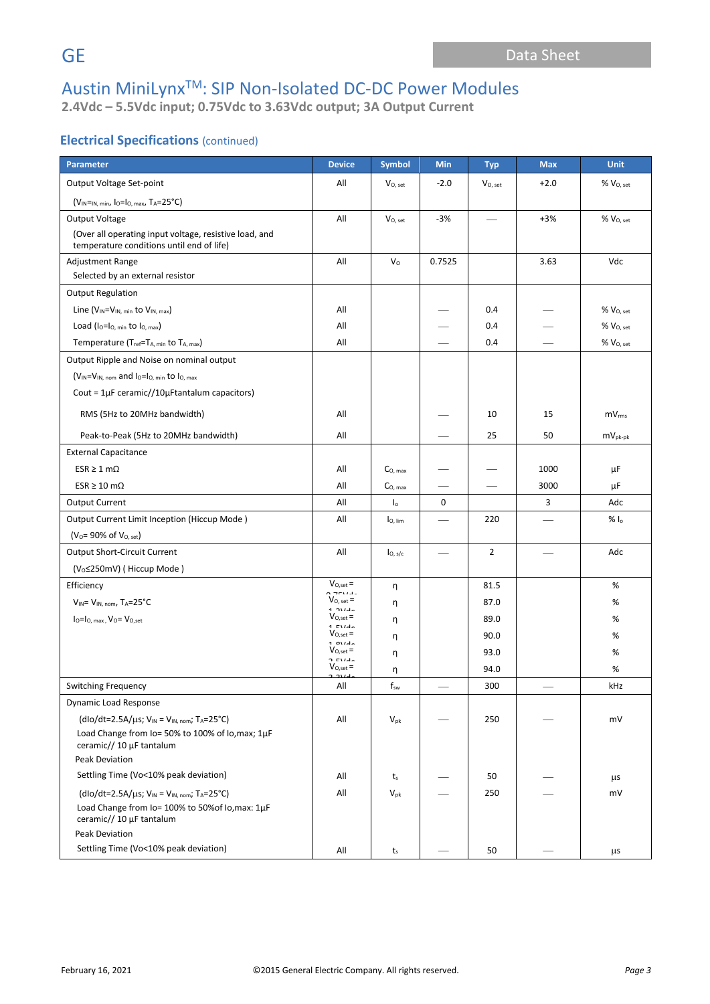**2.4Vdc – 5.5Vdc input; 0.75Vdc to 3.63Vdc output; 3A Output Current**

### **Electrical Specifications** (continued)

| Parameter                                                                    | <b>Device</b>                           | <b>Symbol</b>       | Min                      | <b>Typ</b>   | <b>Max</b>               | <b>Unit</b>              |
|------------------------------------------------------------------------------|-----------------------------------------|---------------------|--------------------------|--------------|--------------------------|--------------------------|
| Output Voltage Set-point                                                     | All                                     | $V_{O, set}$        | $-2.0$                   | $V_{O, set}$ | $+2.0$                   | $%$ $V_{O, set}$         |
| $(V_{IN} = N, min, 10 = 10, max, T_A = 25^{\circ}C)$                         |                                         |                     |                          |              |                          |                          |
| Output Voltage                                                               | All                                     | $V_{O, set}$        | $-3%$                    |              | $+3%$                    | $%V_{O, set}$            |
| (Over all operating input voltage, resistive load, and                       |                                         |                     |                          |              |                          |                          |
| temperature conditions until end of life)                                    |                                         |                     |                          |              |                          |                          |
| Adjustment Range<br>Selected by an external resistor                         | All                                     | V <sub>o</sub>      | 0.7525                   |              | 3.63                     | Vdc                      |
| <b>Output Regulation</b>                                                     |                                         |                     |                          |              |                          |                          |
| Line $(V_{IN} = V_{IN, min}$ to $V_{IN, max}$ )                              | All                                     |                     |                          | 0.4          |                          | $\%$ $\rm V_{O, \, set}$ |
| Load ( $I_0 = I_0$ , min to $I_0$ , max)                                     | All                                     |                     |                          | 0.4          |                          | % V <sub>O, set</sub>    |
| Temperature (Tref=TA, min to TA, max)                                        | All                                     |                     |                          | 0.4          |                          | % V <sub>O, set</sub>    |
| Output Ripple and Noise on nominal output                                    |                                         |                     |                          |              |                          |                          |
| $(V_{IN} = V_{IN, nom}$ and $I_0 = I_0$ , min to $I_0$ , max                 |                                         |                     |                          |              |                          |                          |
| Cout = $1\mu$ F ceramic//10 $\mu$ Ftantalum capacitors)                      |                                         |                     |                          |              |                          |                          |
| RMS (5Hz to 20MHz bandwidth)                                                 | All                                     |                     |                          | 10           | 15                       | mV <sub>rms</sub>        |
| Peak-to-Peak (5Hz to 20MHz bandwidth)                                        | All                                     |                     |                          | 25           | 50                       | $mv_{pk-pk}$             |
| <b>External Capacitance</b>                                                  |                                         |                     |                          |              |                          |                          |
| $ESR \geq 1$ m $\Omega$                                                      | All                                     | $CO$ max            |                          |              | 1000                     | μF                       |
| $ESR \ge 10 \text{ m}\Omega$                                                 | All                                     | C <sub>O. max</sub> |                          |              | 3000                     | μF                       |
| <b>Output Current</b>                                                        | All                                     | I <sub>o</sub>      | 0                        |              | 3                        | Adc                      |
| Output Current Limit Inception (Hiccup Mode)                                 | All                                     | $I_{\text{O, lim}}$ | $\overline{\phantom{0}}$ | 220          | $\overline{\phantom{0}}$ | $% I_{o}$                |
| ( $V_0$ = 90% of $V_{O, set}$ )                                              |                                         |                     |                          |              |                          |                          |
| <b>Output Short-Circuit Current</b>                                          | All                                     | $I_{0, s/c}$        |                          | 2            |                          | Adc                      |
| (V <sub>o</sub> ≤250mV) (Hiccup Mode)                                        |                                         |                     |                          |              |                          |                          |
| Efficiency                                                                   | $V_{O,set} =$<br>$\sim$ - $\sim$ $\sim$ | η                   |                          | 81.5         |                          | %                        |
| $V_{IN} = V_{IN. nom}$ , T <sub>A</sub> =25°C                                | $V_{O, set} =$<br>$1.214 -$             | η                   |                          | 87.0         |                          | %                        |
| $I_0 = I_0$ , max, $V_0 = V_{0,\text{set}}$                                  | $V_{O,set} =$<br>$1$ $F1/dx$            | η                   |                          | 89.0         |                          | %                        |
|                                                                              | $V_{O,set} =$<br>$4.0114 -$             | η                   |                          | 90.0         |                          | %                        |
|                                                                              | $V_{O,set} =$<br>o music                | η                   |                          | 93.0         |                          | %                        |
|                                                                              | $V_{O,set} =$<br>مبدوره                 | η                   |                          | 94.0         |                          | $\%$                     |
| Switching Frequency                                                          | All                                     | $f_{\mathsf{sw}}$   |                          | 300          |                          | kHz                      |
| <b>Dynamic Load Response</b>                                                 |                                         |                     |                          |              |                          |                          |
| $(dlo/dt=2.5A/\mu s; V_{IN} = V_{IN, nom}; T_A=25°C)$                        | All                                     | $V_{pk}$            |                          | 250          |                          | mV                       |
| Load Change from Io= 50% to 100% of Io, max; 1µF<br>ceramic// 10 µF tantalum |                                         |                     |                          |              |                          |                          |
| Peak Deviation                                                               |                                         |                     |                          |              |                          |                          |
| Settling Time (Vo<10% peak deviation)                                        | All                                     | $t_{s}$             |                          | 50           |                          | μs                       |
| $(dlo/dt=2.5A/\mu s; V_{IN} = V_{IN, nom}; T_A=25°C)$                        | All                                     | $V_{pk}$            |                          | 250          |                          | mV                       |
| Load Change from Io= 100% to 50% of Io, max: 1µF<br>ceramic// 10 µF tantalum |                                         |                     |                          |              |                          |                          |
| <b>Peak Deviation</b>                                                        |                                         |                     |                          |              |                          |                          |
| Settling Time (Vo<10% peak deviation)                                        | All                                     | $t_{s}$             |                          | 50           |                          | μs                       |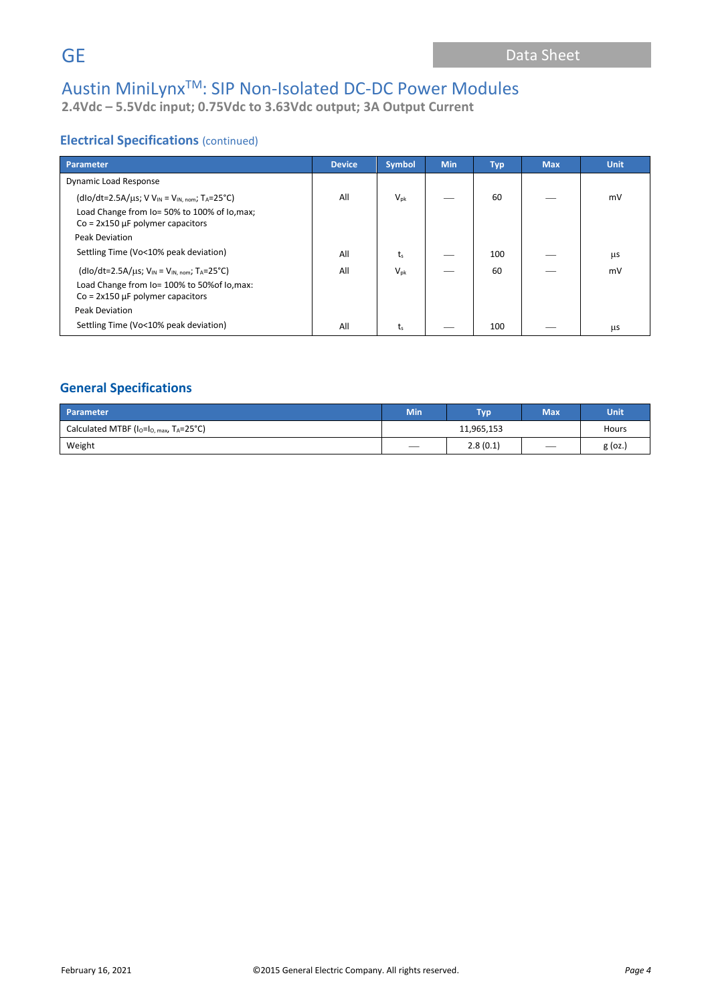**2.4Vdc – 5.5Vdc input; 0.75Vdc to 3.63Vdc output; 3A Output Current**

### **Electrical Specifications** (continued)

| Parameter                                                                                                                                                                 | <b>Device</b> | <b>Symbol</b>   | <b>Min</b> | <b>Typ</b> | <b>Max</b> | <b>Unit</b> |
|---------------------------------------------------------------------------------------------------------------------------------------------------------------------------|---------------|-----------------|------------|------------|------------|-------------|
| Dynamic Load Response                                                                                                                                                     |               |                 |            |            |            |             |
| $(dlo/dt=2.5A/\mu s; V V_{IN} = V_{IN, nom}; T_A=25°C)$<br>Load Change from Io= 50% to 100% of Io, max;<br>$Co = 2x150 \mu F$ polymer capacitors<br><b>Peak Deviation</b> | All           | $V_{\text{pk}}$ |            | 60         |            | mV          |
| Settling Time (Vo<10% peak deviation)                                                                                                                                     | All           | t、              |            | 100        |            | μs          |
| $(dlo/dt=2.5A/\mu s; V_{IN} = V_{IN. nom}; T_A=25^{\circ}C)$<br>Load Change from Io= 100% to 50% of Io, max:<br>$Co = 2x150 \mu F$ polymer capacitors<br>Peak Deviation   | All           | $V_{\text{pk}}$ |            | 60         |            | mV          |
| Settling Time (Vo<10% peak deviation)                                                                                                                                     | All           | ts              |            | 100        |            | μs          |

## **General Specifications**

| Parameter                                                | <b>Min</b>               | <b>Typ</b> | <b>Max</b> | Unit      |
|----------------------------------------------------------|--------------------------|------------|------------|-----------|
| Calculated MTBF ( $I_0 = I_0$ max, $T_A = 25^{\circ}C$ ) |                          | Hours      |            |           |
| Weight                                                   | $\overline{\phantom{a}}$ | 2.8(0.1)   |            | $g$ (oz.) |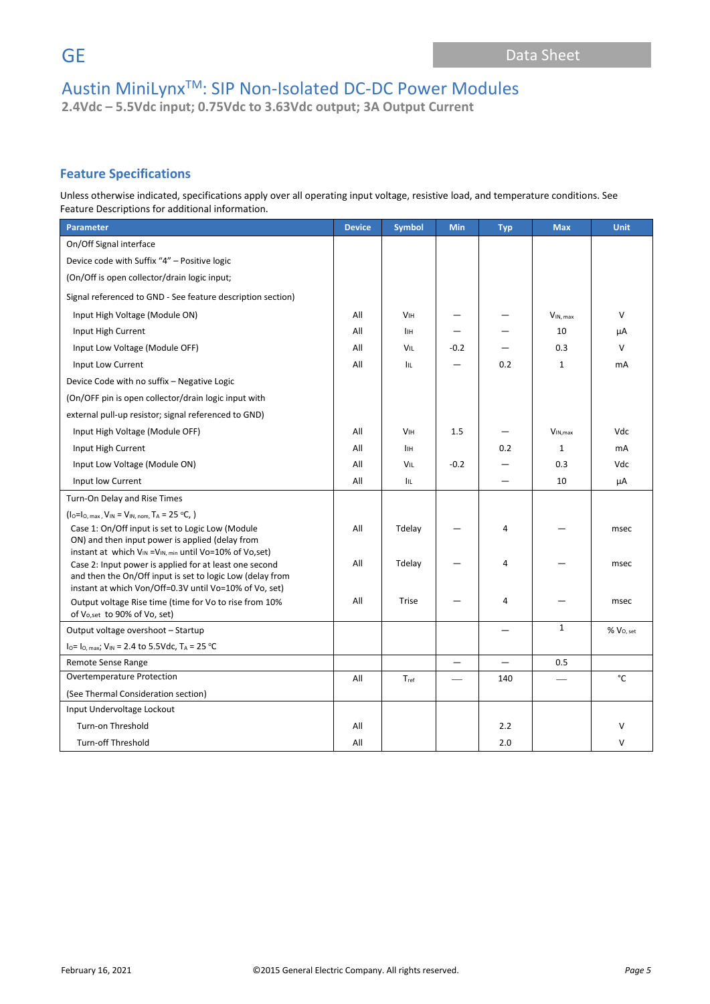**2.4Vdc – 5.5Vdc input; 0.75Vdc to 3.63Vdc output; 3A Output Current**

## **Feature Specifications**

Unless otherwise indicated, specifications apply over all operating input voltage, resistive load, and temperature conditions. See Feature Descriptions for additional information.

| <b>Parameter</b>                                                                                                    | <b>Device</b> | <b>Symbol</b>         | Min                      | <b>Typ</b>               | <b>Max</b>    | <b>Unit</b>           |
|---------------------------------------------------------------------------------------------------------------------|---------------|-----------------------|--------------------------|--------------------------|---------------|-----------------------|
| On/Off Signal interface                                                                                             |               |                       |                          |                          |               |                       |
| Device code with Suffix "4" - Positive logic                                                                        |               |                       |                          |                          |               |                       |
| (On/Off is open collector/drain logic input;                                                                        |               |                       |                          |                          |               |                       |
| Signal referenced to GND - See feature description section)                                                         |               |                       |                          |                          |               |                       |
| Input High Voltage (Module ON)                                                                                      | All           | <b>V<sub>IH</sub></b> |                          |                          | $V_{IN, max}$ | $\vee$                |
| Input High Current                                                                                                  | All           | <b>IIH</b>            |                          |                          | 10            | μA                    |
| Input Low Voltage (Module OFF)                                                                                      | All           | <b>VIL</b>            | $-0.2$                   |                          | 0.3           | $\vee$                |
| Input Low Current                                                                                                   | All           | IIL.                  |                          | 0.2                      | $\mathbf{1}$  | mA                    |
| Device Code with no suffix - Negative Logic                                                                         |               |                       |                          |                          |               |                       |
| (On/OFF pin is open collector/drain logic input with                                                                |               |                       |                          |                          |               |                       |
| external pull-up resistor; signal referenced to GND)                                                                |               |                       |                          |                          |               |                       |
| Input High Voltage (Module OFF)                                                                                     | All           | <b>V<sub>IH</sub></b> | 1.5                      |                          | $V_{IN,max}$  | Vdc                   |
| Input High Current                                                                                                  | All           | <b>IIH</b>            |                          | 0.2                      | $\mathbf{1}$  | mA                    |
| Input Low Voltage (Module ON)                                                                                       | All           | VIL                   | $-0.2$                   |                          | 0.3           | Vdc                   |
| Input low Current                                                                                                   | All           | Iщ.                   |                          |                          | 10            | μA                    |
| Turn-On Delay and Rise Times                                                                                        |               |                       |                          |                          |               |                       |
| $(I_0=I_0$ , max, $V_{IN} = V_{IN, nom}$ , $T_A = 25 °C$ , )                                                        |               |                       |                          |                          |               |                       |
| Case 1: On/Off input is set to Logic Low (Module                                                                    | All           | Tdelay                |                          | 4                        |               | msec                  |
| ON) and then input power is applied (delay from<br>instant at which $V_{IN} = V_{IN. min}$ until Vo=10% of Vo,set)  |               |                       |                          |                          |               |                       |
| Case 2: Input power is applied for at least one second                                                              | All           | Tdelay                |                          | 4                        |               | msec                  |
| and then the On/Off input is set to logic Low (delay from<br>instant at which Von/Off=0.3V until Vo=10% of Vo, set) |               |                       |                          |                          |               |                       |
| Output voltage Rise time (time for Vo to rise from 10%                                                              | All           | <b>Trise</b>          |                          | 4                        |               | msec                  |
| of Vo, set to 90% of Vo, set)                                                                                       |               |                       |                          |                          |               |                       |
| Output voltage overshoot - Startup                                                                                  |               |                       |                          |                          | $\mathbf{1}$  | % V <sub>O, set</sub> |
| $I_0 = I_0$ , max; $V_{IN} = 2.4$ to 5.5Vdc, $T_A = 25$ °C                                                          |               |                       |                          |                          |               |                       |
| Remote Sense Range                                                                                                  |               |                       | $\overline{\phantom{0}}$ | $\overline{\phantom{0}}$ | 0.5           |                       |
| Overtemperature Protection                                                                                          | All           | Tref                  |                          | 140                      |               | °C                    |
| (See Thermal Consideration section)                                                                                 |               |                       |                          |                          |               |                       |
| Input Undervoltage Lockout                                                                                          |               |                       |                          |                          |               |                       |
| <b>Turn-on Threshold</b>                                                                                            | All           |                       |                          | 2.2                      |               | $\vee$                |
| <b>Turn-off Threshold</b>                                                                                           | All           |                       |                          | 2.0                      |               | $\vee$                |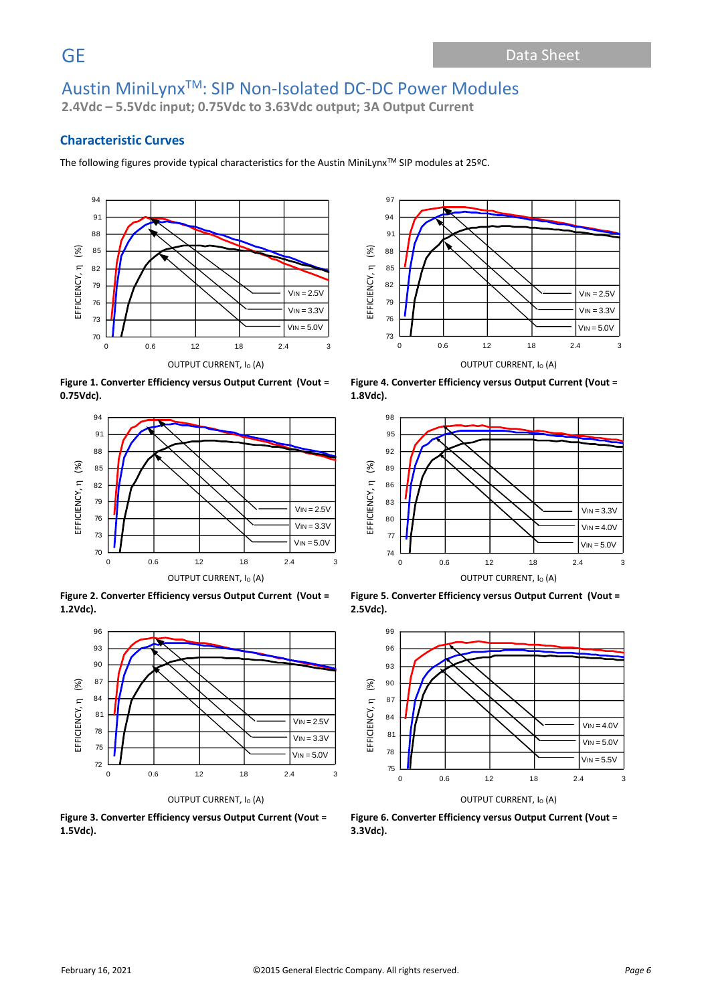**2.4Vdc – 5.5Vdc input; 0.75Vdc to 3.63Vdc output; 3A Output Current**

### **Characteristic Curves**

The following figures provide typical characteristics for the Austin MiniLynx™ SIP modules at 25ºC.



**Figure 1. Converter Efficiency versus Output Current (Vout = 0.75Vdc).**



**Figure 2. Converter Efficiency versus Output Current (Vout = 1.2Vdc).**



**Figure 3. Converter Efficiency versus Output Current (Vout = 1.5Vdc).**



**Figure 4. Converter Efficiency versus Output Current (Vout = 1.8Vdc).**



**Figure 5. Converter Efficiency versus Output Current (Vout = 2.5Vdc).**



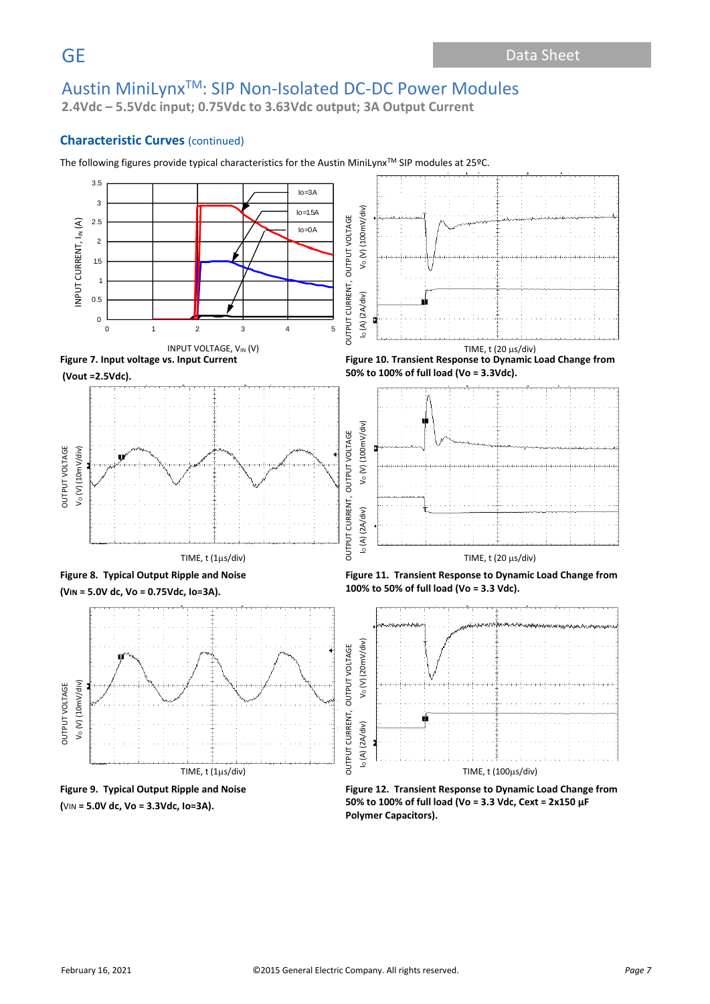**2.4Vdc – 5.5Vdc input; 0.75Vdc to 3.63Vdc output; 3A Output Current**

### **Characteristic Curves** (continued)



The following figures provide typical characteristics for the Austin MiniLynx™ SIP modules at 25ºC.

**Figure 12. Transient Response to Dynamic Load Change from 50% to 100% of full load (Vo = 3.3 Vdc, Cext = 2x150 μF Polymer Capacitors).**





**(**VIN **= 5.0V dc, Vo = 3.3Vdc, Io=3A).**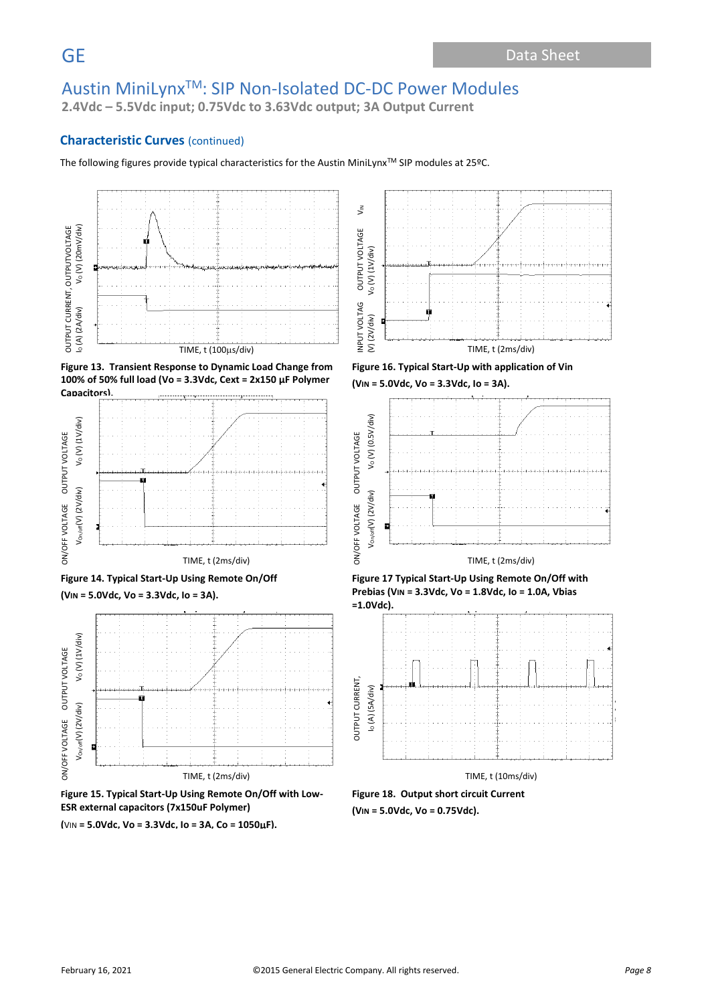**2.4Vdc – 5.5Vdc input; 0.75Vdc to 3.63Vdc output; 3A Output Current**

### **Characteristic Curves** (continued)

The following figures provide typical characteristics for the Austin MiniLynx™ SIP modules at 25ºC.











**Figure 15. Typical Start-Up Using Remote On/Off with Low-ESR external capacitors (7x150uF Polymer)**

**(**VIN **= 5.0Vdc, Vo = 3.3Vdc, Io = 3A, Co = 1050F).**



**Figure 16. Typical Start-Up with application of Vin** 









**Figure 18. Output short circuit Current (VIN = 5.0Vdc, Vo = 0.75Vdc).**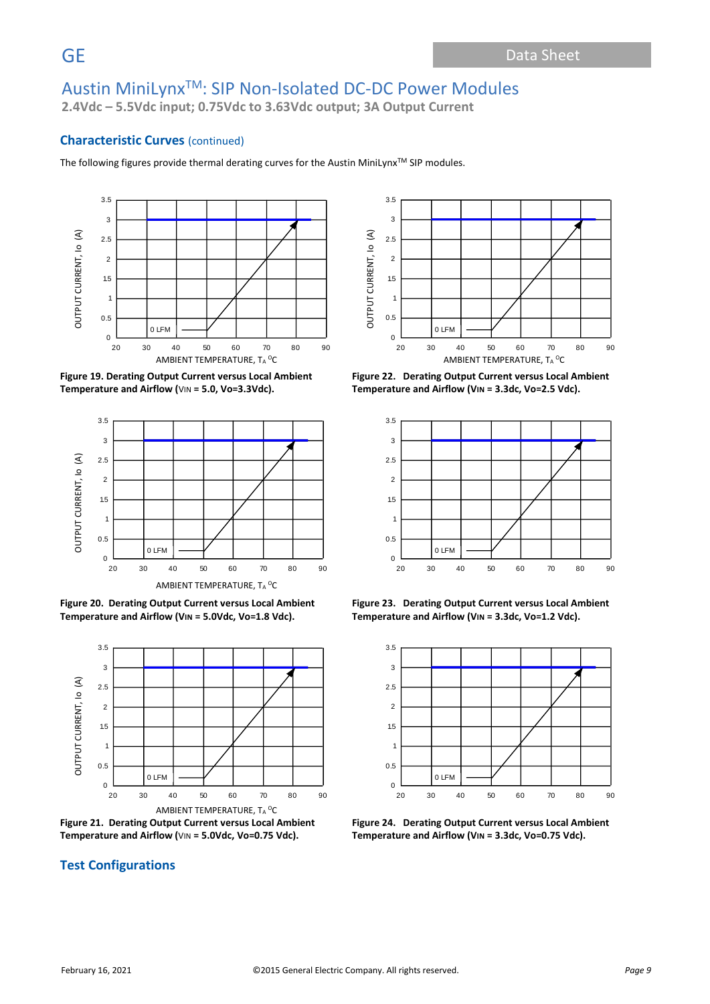**2.4Vdc – 5.5Vdc input; 0.75Vdc to 3.63Vdc output; 3A Output Current**

### **Characteristic Curves** (continued)

The following figures provide thermal derating curves for the Austin MiniLynx™ SIP modules.







**Figure 20. Derating Output Current versus Local Ambient Temperature and Airflow (VIN = 5.0Vdc, Vo=1.8 Vdc).**



**Figure 21. Derating Output Current versus Local Ambient Temperature and Airflow (**VIN **= 5.0Vdc, Vo=0.75 Vdc).**

## **Test Configurations**



**Figure 22. Derating Output Current versus Local Ambient Temperature and Airflow (VIN = 3.3dc, Vo=2.5 Vdc).**



**Figure 23. Derating Output Current versus Local Ambient Temperature and Airflow (VIN = 3.3dc, Vo=1.2 Vdc).**



**Figure 24. Derating Output Current versus Local Ambient Temperature and Airflow (VIN = 3.3dc, Vo=0.75 Vdc).**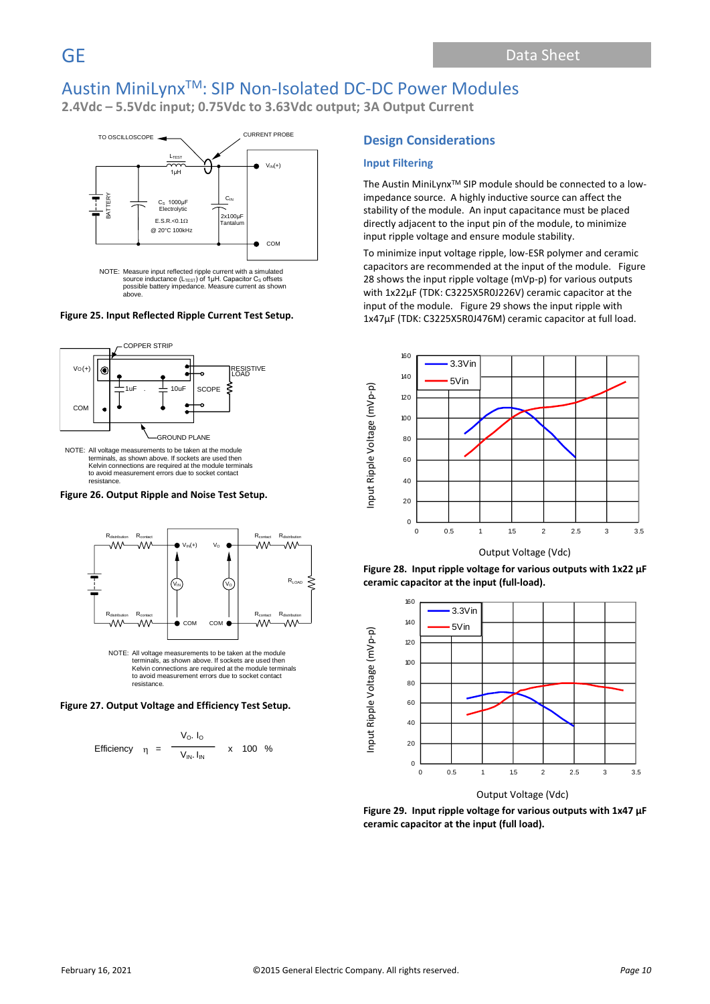**2.4Vdc – 5.5Vdc input; 0.75Vdc to 3.63Vdc output; 3A Output Current**



#### **Figure 25. Input Reflected Ripple Current Test Setup.**



NOTE: All voltage measurements to be taken at the module terminals, as shown above. If sockets are used then Kelvin connections are required at the module terminals to avoid measurement errors due to socket contact resistance.

#### **Figure 26. Output Ripple and Noise Test Setup.**



to avoid measurement errors due to socket contact resistance.

#### **Figure 27. Output Voltage and Efficiency Test Setup.**

Efficiency 
$$
\eta = \frac{V_0. I_0}{V_{IN} I_{IN}} \times 100\%
$$

#### **Design Considerations**

#### **Input Filtering**

The Austin MiniLynx<sup>™</sup> SIP module should be connected to a lowimpedance source. A highly inductive source can affect the stability of the module. An input capacitance must be placed directly adjacent to the input pin of the module, to minimize input ripple voltage and ensure module stability.

To minimize input voltage ripple, low-ESR polymer and ceramic capacitors are recommended at the input of the module. Figure 28 shows the input ripple voltage (mVp-p) for various outputs with 1x22µF (TDK: C3225X5R0J226V) ceramic capacitor at the input of the module. Figure 29 shows the input ripple with 1x47µF (TDK: C3225X5R0J476M) ceramic capacitor at full load.









Output Voltage (Vdc)

**Figure 29. Input ripple voltage for various outputs with 1x47 µF ceramic capacitor at the input (full load).**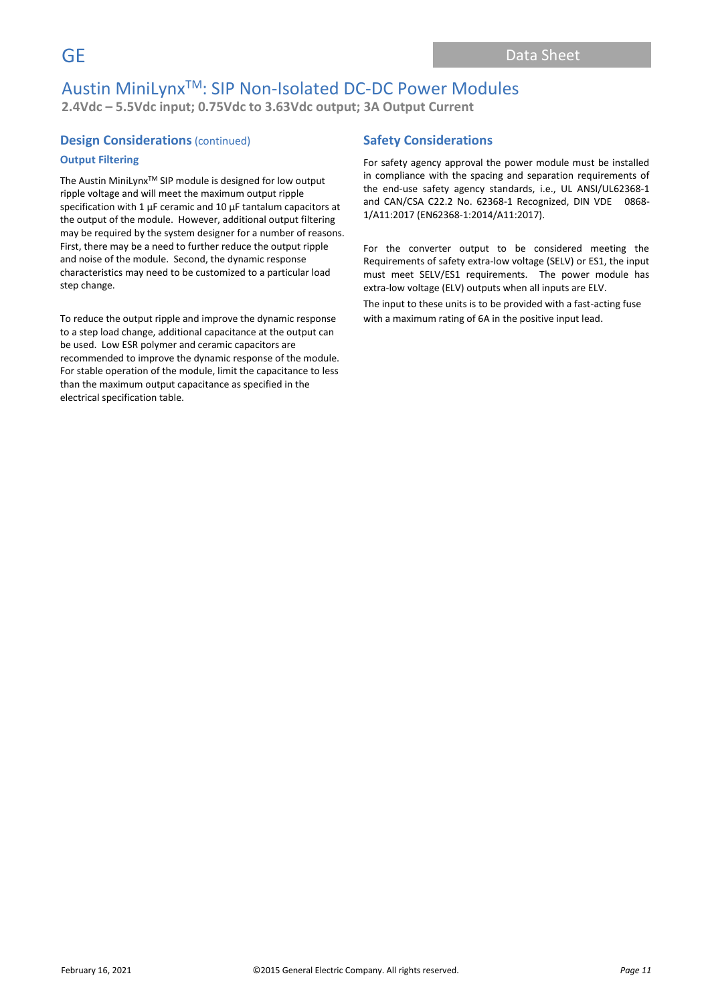## Austin MiniLynxTM: SIP Non-Isolated DC-DC Power Modules **2.4Vdc – 5.5Vdc input; 0.75Vdc to 3.63Vdc output; 3A Output Current**

### **Design Considerations** (continued)

#### **Output Filtering**

The Austin MiniLynx<sup>™</sup> SIP module is designed for low output ripple voltage and will meet the maximum output ripple specification with 1  $\mu$ F ceramic and 10  $\mu$ F tantalum capacitors at the output of the module. However, additional output filtering may be required by the system designer for a number of reasons. First, there may be a need to further reduce the output ripple and noise of the module. Second, the dynamic response characteristics may need to be customized to a particular load step change.

To reduce the output ripple and improve the dynamic response to a step load change, additional capacitance at the output can be used. Low ESR polymer and ceramic capacitors are recommended to improve the dynamic response of the module. For stable operation of the module, limit the capacitance to less than the maximum output capacitance as specified in the electrical specification table.

### **Safety Considerations**

For safety agency approval the power module must be installed in compliance with the spacing and separation requirements of the end-use safety agency standards, i.e., UL ANSI/UL62368-1 and CAN/CSA C22.2 No. 62368-1 Recognized, DIN VDE 0868- 1/A11:2017 (EN62368-1:2014/A11:2017).

For the converter output to be considered meeting the Requirements of safety extra-low voltage (SELV) or ES1, the input must meet SELV/ES1 requirements. The power module has extra-low voltage (ELV) outputs when all inputs are ELV.

The input to these units is to be provided with a fast-acting fuse with a maximum rating of 6A in the positive input lead.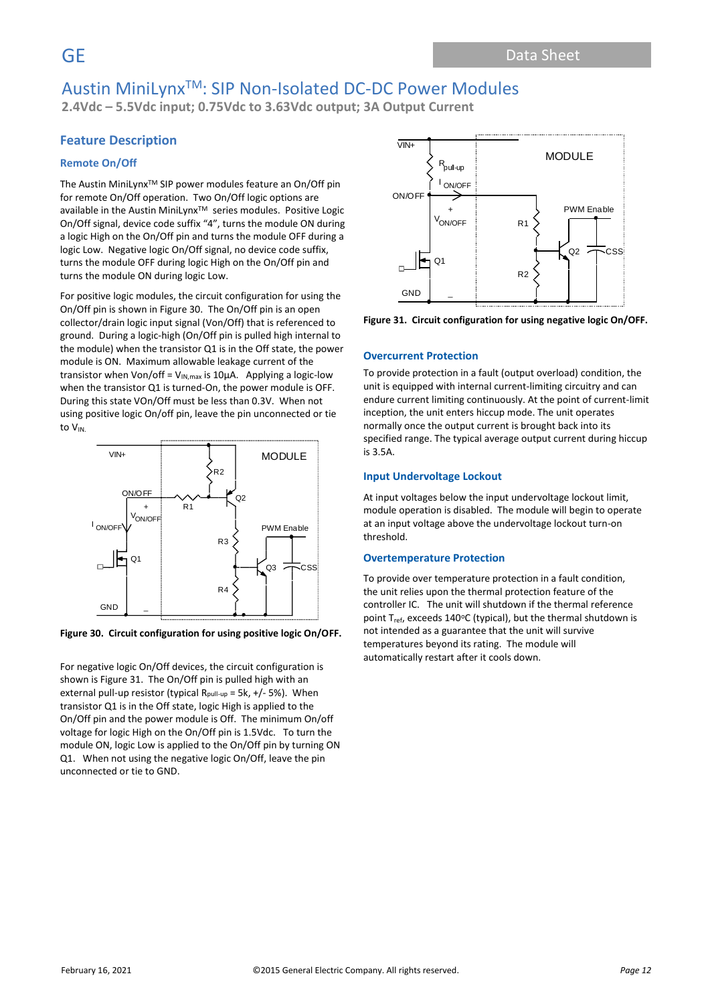**2.4Vdc – 5.5Vdc input; 0.75Vdc to 3.63Vdc output; 3A Output Current**

### **Feature Description**

#### **Remote On/Off**

The Austin MiniLynx<sup>™</sup> SIP power modules feature an On/Off pin for remote On/Off operation. Two On/Off logic options are available in the Austin MiniLynx<sup>™</sup> series modules. Positive Logic On/Off signal, device code suffix "4", turns the module ON during a logic High on the On/Off pin and turns the module OFF during a logic Low. Negative logic On/Off signal, no device code suffix, turns the module OFF during logic High on the On/Off pin and turns the module ON during logic Low.

For positive logic modules, the circuit configuration for using the On/Off pin is shown in Figure 30. The On/Off pin is an open collector/drain logic input signal (Von/Off) that is referenced to ground. During a logic-high (On/Off pin is pulled high internal to the module) when the transistor Q1 is in the Off state, the power module is ON. Maximum allowable leakage current of the transistor when Von/off =  $V_{IN, max}$  is 10µA. Applying a logic-low when the transistor Q1 is turned-On, the power module is OFF. During this state VOn/Off must be less than 0.3V. When not using positive logic On/off pin, leave the pin unconnected or tie to VIN.



**Figure 30. Circuit configuration for using positive logic On/OFF.**

For negative logic On/Off devices, the circuit configuration is shown is Figure 31. The On/Off pin is pulled high with an external pull-up resistor (typical R<sub>pull-up</sub> = 5k,  $+/$ - 5%). When transistor Q1 is in the Off state, logic High is applied to the On/Off pin and the power module is Off. The minimum On/off voltage for logic High on the On/Off pin is 1.5Vdc. To turn the module ON, logic Low is applied to the On/Off pin by turning ON Q1. When not using the negative logic On/Off, leave the pin unconnected or tie to GND.



**Figure 31. Circuit configuration for using negative logic On/OFF.**

#### **Overcurrent Protection**

To provide protection in a fault (output overload) condition, the unit is equipped with internal current-limiting circuitry and can endure current limiting continuously. At the point of current-limit inception, the unit enters hiccup mode. The unit operates normally once the output current is brought back into its specified range. The typical average output current during hiccup is 3.5A.

#### **Input Undervoltage Lockout**

At input voltages below the input undervoltage lockout limit, module operation is disabled. The module will begin to operate at an input voltage above the undervoltage lockout turn-on threshold.

#### **Overtemperature Protection**

To provide over temperature protection in a fault condition, the unit relies upon the thermal protection feature of the controller IC. The unit will shutdown if the thermal reference point  $T_{ref}$ , exceeds 140°C (typical), but the thermal shutdown is not intended as a guarantee that the unit will survive temperatures beyond its rating. The module will automatically restart after it cools down.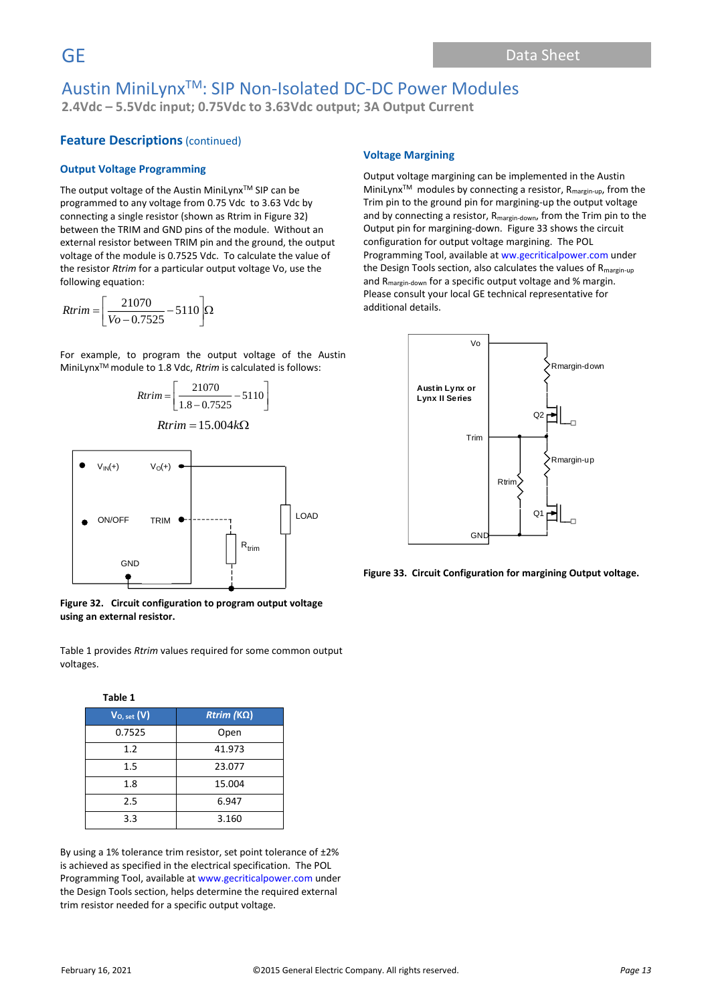## Austin MiniLynxTM: SIP Non-Isolated DC-DC Power Modules **2.4Vdc – 5.5Vdc input; 0.75Vdc to 3.63Vdc output; 3A Output Current**

### **Feature Descriptions** (continued)

#### **Output Voltage Programming**

The output voltage of the Austin MiniLynx™ SIP can be programmed to any voltage from 0.75 Vdc to 3.63 Vdc by connecting a single resistor (shown as Rtrim in Figure 32) between the TRIM and GND pins of the module. Without an external resistor between TRIM pin and the ground, the output voltage of the module is 0.7525 Vdc. To calculate the value of the resistor *Rtrim* for a particular output voltage Vo, use the following equation:

$$
Rtrim = \left[\frac{21070}{Vo - 0.7525} - 5110\right]\Omega
$$

For example, to program the output voltage of the Austin MiniLynxTM module to 1.8 Vdc, *Rtrim* is calculated is follows:

$$
Rtrim = \left[ \frac{21070}{1.8 - 0.7525} - 5110 \right]
$$

l

$$
Rtrim = 15.004k\Omega
$$



**Figure 32. Circuit configuration to program output voltage using an external resistor.**

Table 1 provides *Rtrim* values required for some common output voltages.

| Table 1         |                   |
|-----------------|-------------------|
| $V_{O, set}(V)$ | $Rtrim (K\Omega)$ |
| 0.7525          | Open              |
| 1.2             | 41.973            |
| 1.5             | 23.077            |
| 1.8             | 15.004            |
| 2.5             | 6.947             |
| 3.3             | 3.160             |

By using a 1% tolerance trim resistor, set point tolerance of ±2% is achieved as specified in the electrical specification. The POL Programming Tool, available at www.gecriticalpower.com under the Design Tools section, helps determine the required external trim resistor needed for a specific output voltage.

### **Voltage Margining**

Output voltage margining can be implemented in the Austin MiniLynx<sup>™</sup> modules by connecting a resistor, R<sub>margin-up</sub>, from the Trim pin to the ground pin for margining-up the output voltage and by connecting a resistor, R<sub>margin-down</sub>, from the Trim pin to the Output pin for margining-down. Figure 33 shows the circuit configuration for output voltage margining. The POL Programming Tool, available at ww.gecriticalpower.com under the Design Tools section, also calculates the values of  $R_{\text{margin-up}}$ and Rmargin-down for a specific output voltage and % margin. Please consult your local GE technical representative for additional details.



**Figure 33. Circuit Configuration for margining Output voltage.**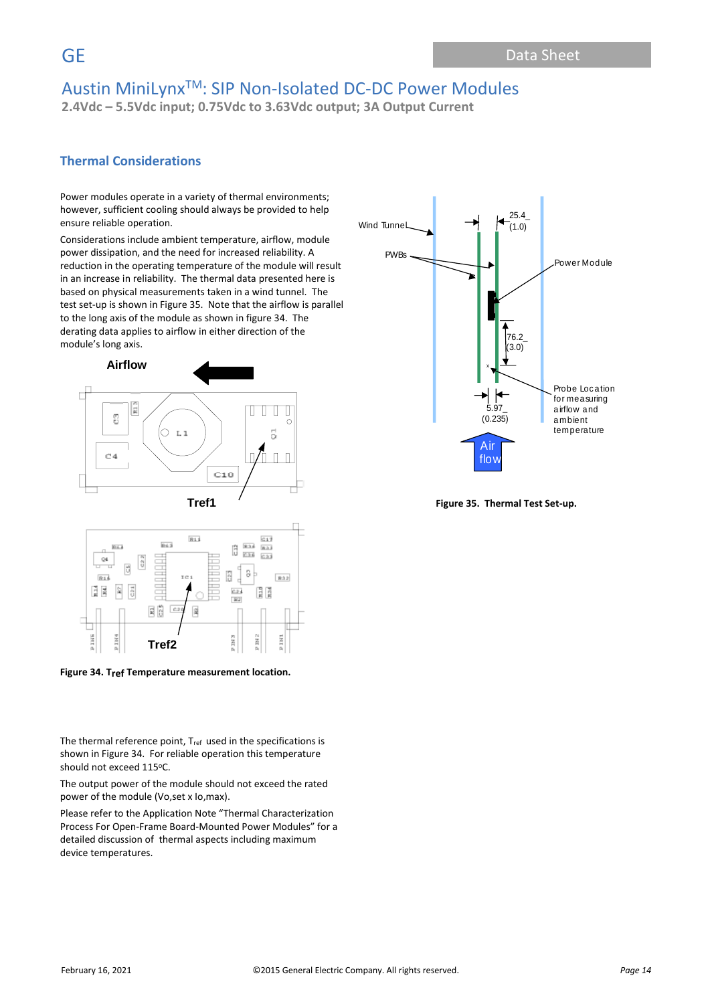**2.4Vdc – 5.5Vdc input; 0.75Vdc to 3.63Vdc output; 3A Output Current**

### **Thermal Considerations**

Power modules operate in a variety of thermal environments; however, sufficient cooling should always be provided to help ensure reliable operation.

Considerations include ambient temperature, airflow, module power dissipation, and the need for increased reliability. A reduction in the operating temperature of the module will result in an increase in reliability. The thermal data presented here is based on physical measurements taken in a wind tunnel. The test set-up is shown in Figure 35. Note that the airflow is parallel to the long axis of the module as shown in figure 34. The derating data applies to airflow in either direction of the module's long axis.



**Figure 34. Tref Temperature measurement location.**

The thermal reference point,  $T_{ref}$  used in the specifications is shown in Figure 34. For reliable operation this temperature should not exceed 115°C.

The output power of the module should not exceed the rated power of the module (Vo,set x Io,max).

Please refer to the Application Note "Thermal Characterization Process For Open-Frame Board-Mounted Power Modules" for a detailed discussion of thermal aspects including maximum device temperatures.



**Figure 35. Thermal Test Set-up.**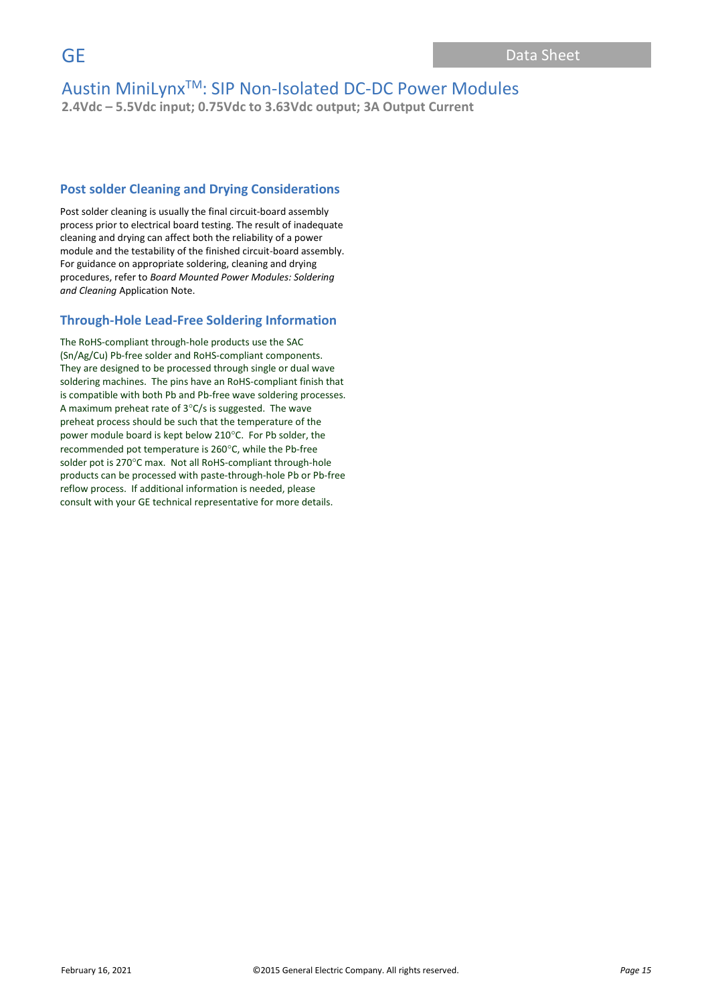**2.4Vdc – 5.5Vdc input; 0.75Vdc to 3.63Vdc output; 3A Output Current**

### **Post solder Cleaning and Drying Considerations**

Post solder cleaning is usually the final circuit-board assembly process prior to electrical board testing. The result of inadequate cleaning and drying can affect both the reliability of a power module and the testability of the finished circuit-board assembly. For guidance on appropriate soldering, cleaning and drying procedures, refer to *Board Mounted Power Modules: Soldering and Cleaning* Application Note.

### **Through-Hole Lead-Free Soldering Information**

The RoHS-compliant through-hole products use the SAC (Sn/Ag/Cu) Pb-free solder and RoHS-compliant components. They are designed to be processed through single or dual wave soldering machines. The pins have an RoHS-compliant finish that is compatible with both Pb and Pb-free wave soldering processes. A maximum preheat rate of  $3^{\circ}$ C/s is suggested. The wave preheat process should be such that the temperature of the power module board is kept below 210°C. For Pb solder, the recommended pot temperature is 260°C, while the Pb-free solder pot is 270°C max. Not all RoHS-compliant through-hole products can be processed with paste-through-hole Pb or Pb-free reflow process. If additional information is needed, please consult with your GE technical representative for more details.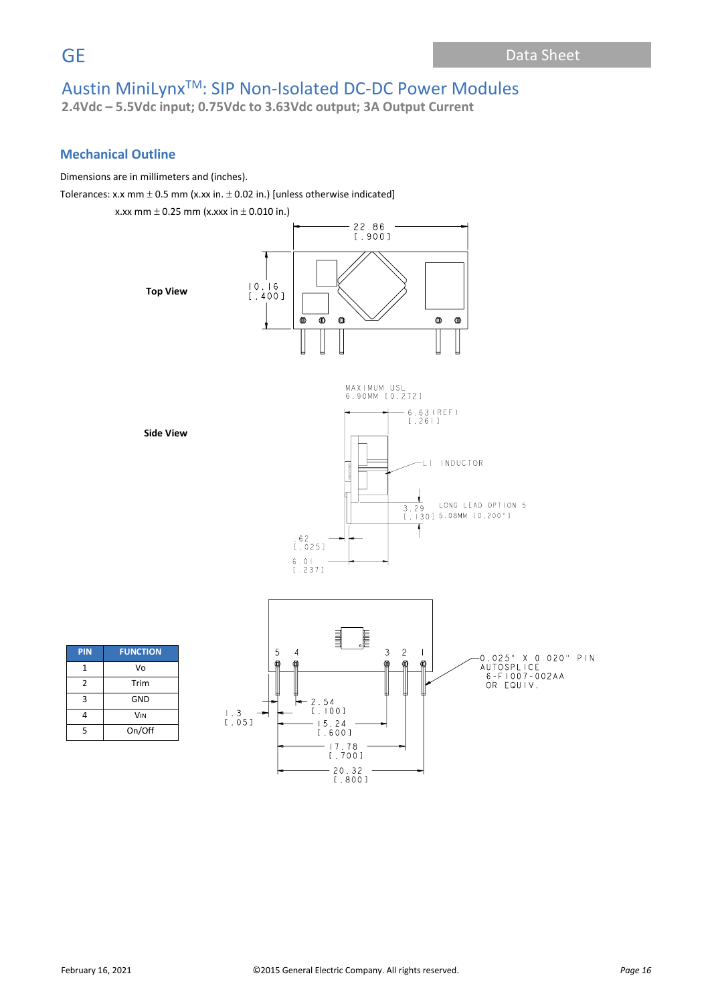**2.4Vdc – 5.5Vdc input; 0.75Vdc to 3.63Vdc output; 3A Output Current**

### **Mechanical Outline**

Dimensions are in millimeters and (inches).

Tolerances: x.x mm  $\pm$  0.5 mm (x.xx in.  $\pm$  0.02 in.) [unless otherwise indicated]

x.xx mm  $\pm$  0.25 mm (x.xxx in  $\pm$  0.010 in.)

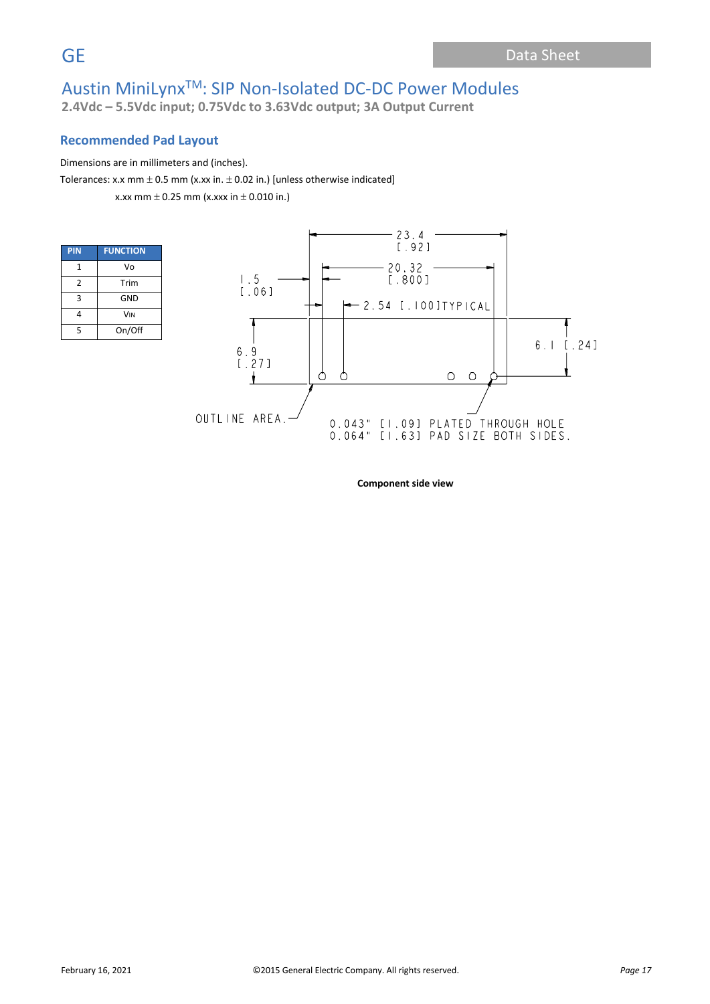**2.4Vdc – 5.5Vdc input; 0.75Vdc to 3.63Vdc output; 3A Output Current**

### **Recommended Pad Layout**

#### Dimensions are in millimeters and (inches).

Tolerances: x.x mm  $\pm$  0.5 mm (x.xx in.  $\pm$  0.02 in.) [unless otherwise indicated]

x.xx mm  $\pm$  0.25 mm (x.xxx in  $\pm$  0.010 in.)

| <b>PIN</b>    | <b>FUNCTION</b>       |
|---------------|-----------------------|
| 1             | Vo                    |
| $\mathfrak z$ | Trim                  |
| 3             | GND                   |
| 4             | <b>V<sub>IN</sub></b> |
| 5             | On/Off                |



**Component side view**